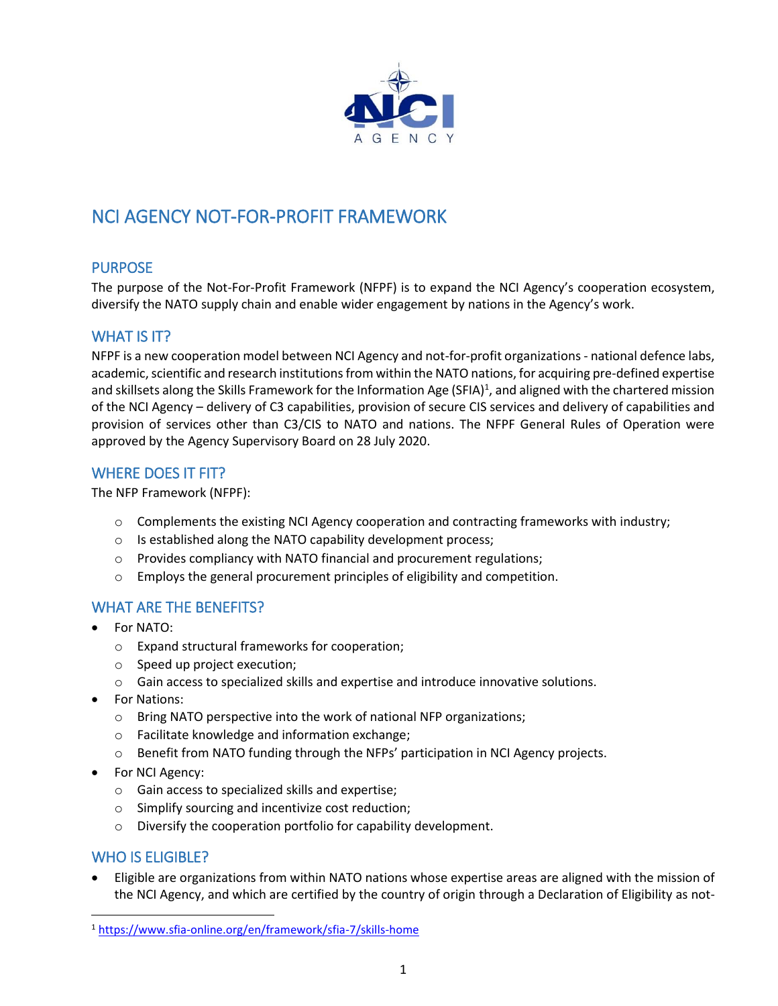

# NCI AGENCY NOT-FOR-PROFIT FRAMEWORK

# PURPOSE

The purpose of the Not-For-Profit Framework (NFPF) is to expand the NCI Agency's cooperation ecosystem, diversify the NATO supply chain and enable wider engagement by nations in the Agency's work.

# WHAT IS **IT?**

NFPF is a new cooperation model between NCI Agency and not-for-profit organizations - national defence labs, academic, scientific and research institutions from within the NATO nations, for acquiring pre-defined expertise and skillsets along the Skills Framework for the Information Age (SFIA)<sup>1</sup>, and aligned with the chartered mission of the NCI Agency – delivery of C3 capabilities, provision of secure CIS services and delivery of capabilities and provision of services other than C3/CIS to NATO and nations. The NFPF General Rules of Operation were approved by the Agency Supervisory Board on 28 July 2020.

# WHERE DOES IT FIT?

The NFP Framework (NFPF):

- $\circ$  Complements the existing NCI Agency cooperation and contracting frameworks with industry;
- o Is established along the NATO capability development process;
- o Provides compliancy with NATO financial and procurement regulations;
- $\circ$  Employs the general procurement principles of eligibility and competition.

# WHAT ARE THE BENEFITS?

- For NATO:
	- o Expand structural frameworks for cooperation;
	- o Speed up project execution;
	- o Gain access to specialized skills and expertise and introduce innovative solutions.
- For Nations:
	- o Bring NATO perspective into the work of national NFP organizations;
	- o Facilitate knowledge and information exchange;
	- $\circ$  Benefit from NATO funding through the NFPs' participation in NCI Agency projects.
- For NCI Agency:
	- o Gain access to specialized skills and expertise;
	- o Simplify sourcing and incentivize cost reduction;
	- o Diversify the cooperation portfolio for capability development.

#### WHO IS ELIGIBLE?

 $\overline{a}$ 

 Eligible are organizations from within NATO nations whose expertise areas are aligned with the mission of the NCI Agency, and which are certified by the country of origin through a Declaration of Eligibility as not-

<sup>1</sup> <https://www.sfia-online.org/en/framework/sfia-7/skills-home>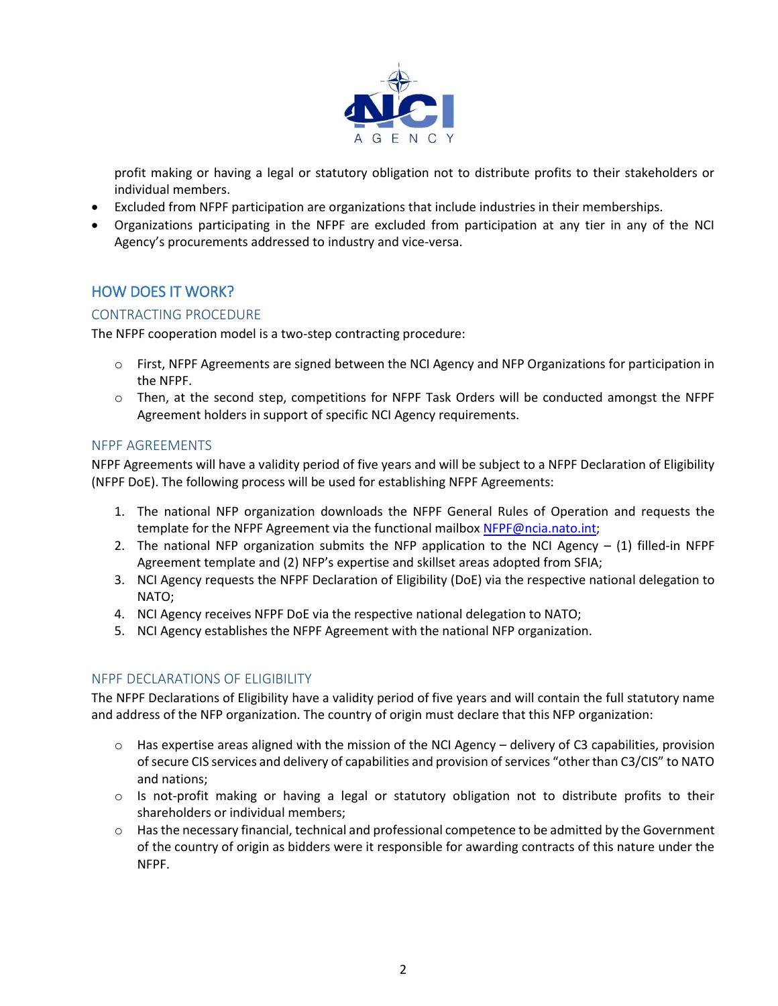

profit making or having a legal or statutory obligation not to distribute profits to their stakeholders or individual members.

- Excluded from NFPF participation are organizations that include industries in their memberships.
- Organizations participating in the NFPF are excluded from participation at any tier in any of the NCI Agency's procurements addressed to industry and vice-versa.

# HOW DOES IT WORK?

#### CONTRACTING PROCEDURE

The NFPF cooperation model is a two-step contracting procedure:

- $\circ$  First, NFPF Agreements are signed between the NCI Agency and NFP Organizations for participation in the NFPF.
- o Then, at the second step, competitions for NFPF Task Orders will be conducted amongst the NFPF Agreement holders in support of specific NCI Agency requirements.

#### NFPF AGREEMENTS

NFPF Agreements will have a validity period of five years and will be subject to a NFPF Declaration of Eligibility (NFPF DoE). The following process will be used for establishing NFPF Agreements:

- 1. The national NFP organization downloads the NFPF General Rules of Operation and requests the template for the NFPF Agreement via the functional mailbox [NFPF@ncia.nato.int;](mailto:NFPF@ncia.nato.int)
- 2. The national NFP organization submits the NFP application to the NCI Agency  $-$  (1) filled-in NFPF Agreement template and (2) NFP's expertise and skillset areas adopted from SFIA;
- 3. NCI Agency requests the NFPF Declaration of Eligibility (DoE) via the respective national delegation to NATO;
- 4. NCI Agency receives NFPF DoE via the respective national delegation to NATO;
- 5. NCI Agency establishes the NFPF Agreement with the national NFP organization.

#### NFPF DECLARATIONS OF ELIGIBILITY

The NFPF Declarations of Eligibility have a validity period of five years and will contain the full statutory name and address of the NFP organization. The country of origin must declare that this NFP organization:

- $\circ$  Has expertise areas aligned with the mission of the NCI Agency delivery of C3 capabilities, provision ofsecure CIS services and delivery of capabilities and provision of services "other than C3/CIS" to NATO and nations;
- $\circ$  Is not-profit making or having a legal or statutory obligation not to distribute profits to their shareholders or individual members;
- o Has the necessary financial, technical and professional competence to be admitted by the Government of the country of origin as bidders were it responsible for awarding contracts of this nature under the NFPF.